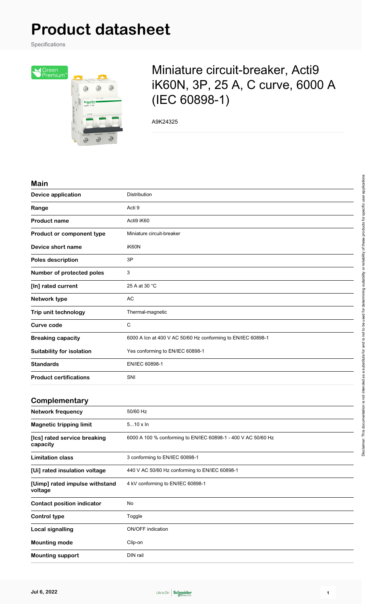# **Product datasheet**

Specifications



## Miniature circuit-breaker, Acti9 iK60N, 3P, 25 A, C curve, 6000 A (IEC 60898-1)

A9K24325

#### **Main**

| <b>Device application</b>        | Distribution                                                 |
|----------------------------------|--------------------------------------------------------------|
| Range                            | Acti 9                                                       |
| <b>Product name</b>              | Acti9 iK60                                                   |
| Product or component type        | Miniature circuit-breaker                                    |
| Device short name                | iK60N                                                        |
| Poles description                | 3P                                                           |
| Number of protected poles        | 3                                                            |
| [In] rated current               | 25 A at 30 °C                                                |
| Network type                     | <b>AC</b>                                                    |
| Trip unit technology             | Thermal-magnetic                                             |
| <b>Curve code</b>                | C                                                            |
| <b>Breaking capacity</b>         | 6000 A Icn at 400 V AC 50/60 Hz conforming to EN/IEC 60898-1 |
| <b>Suitability for isolation</b> | Yes conforming to EN/IEC 60898-1                             |
| <b>Standards</b>                 | EN/IEC 60898-1                                               |
| <b>Product certifications</b>    | SNI                                                          |
|                                  |                                                              |

#### **Complementary**

| <b>Network frequency</b>                  | 50/60 Hz                                                      |
|-------------------------------------------|---------------------------------------------------------------|
| <b>Magnetic tripping limit</b>            | $510 \times \ln$                                              |
| [Ics] rated service breaking<br>capacity  | 6000 A 100 % conforming to EN/IEC 60898-1 - 400 V AC 50/60 Hz |
| <b>Limitation class</b>                   | 3 conforming to EN/IEC 60898-1                                |
| [Ui] rated insulation voltage             | 440 V AC 50/60 Hz conforming to EN/IEC 60898-1                |
| [Uimp] rated impulse withstand<br>voltage | 4 kV conforming to EN/IEC 60898-1                             |
| <b>Contact position indicator</b>         | No                                                            |
| Control type                              | Toggle                                                        |
| Local signalling                          | <b>ON/OFF</b> indication                                      |
| <b>Mounting mode</b>                      | Clip-on                                                       |
| <b>Mounting support</b>                   | DIN rail                                                      |

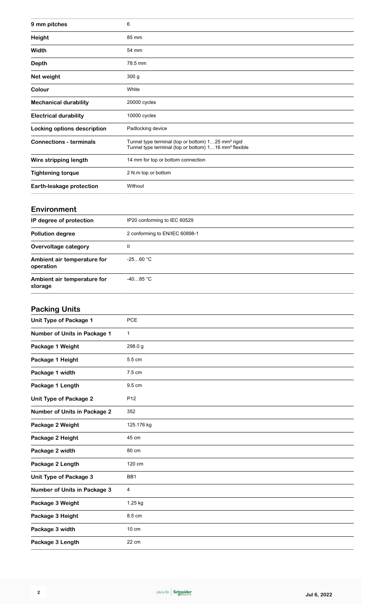| 9 mm pitches                   | 6                                                                                                                                   |
|--------------------------------|-------------------------------------------------------------------------------------------------------------------------------------|
| <b>Height</b>                  | 85 mm                                                                                                                               |
| Width                          | 54 mm                                                                                                                               |
| <b>Depth</b>                   | 78.5 mm                                                                                                                             |
| Net weight                     | 300 <sub>g</sub>                                                                                                                    |
| Colour                         | White                                                                                                                               |
| <b>Mechanical durability</b>   | 20000 cycles                                                                                                                        |
| <b>Electrical durability</b>   | 10000 cycles                                                                                                                        |
| Locking options description    | Padlocking device                                                                                                                   |
| <b>Connections - terminals</b> | Tunnel type terminal (top or bottom) 125 mm <sup>2</sup> rigid<br>Tunnel type terminal (top or bottom) 116 mm <sup>2</sup> flexible |
| Wire stripping length          | 14 mm for top or bottom connection                                                                                                  |
| <b>Tightening torque</b>       | 2 N.m top or bottom                                                                                                                 |
| Earth-leakage protection       | Without                                                                                                                             |

#### **Environment**

| IP degree of protection                  | IP20 conforming to IEC 60529   |
|------------------------------------------|--------------------------------|
| <b>Pollution degree</b>                  | 2 conforming to EN/IEC 60898-1 |
| Overvoltage category                     | Ш                              |
| Ambient air temperature for<br>operation | $-2560 °C$                     |
| Ambient air temperature for<br>storage   | $-4085 °C$                     |

## **Packing Units**

| <b>PCE</b>      |
|-----------------|
| $\mathbf 1$     |
| 298.0 g         |
| 5.5 cm          |
| 7.5 cm          |
| 9.5 cm          |
| P <sub>12</sub> |
| 352             |
| 125.176 kg      |
| 45 cm           |
| 80 cm           |
| 120 cm          |
| BB1             |
| 4               |
| 1.25 kg         |
| 8.5 cm          |
| 10 cm           |
| 22 cm           |
|                 |